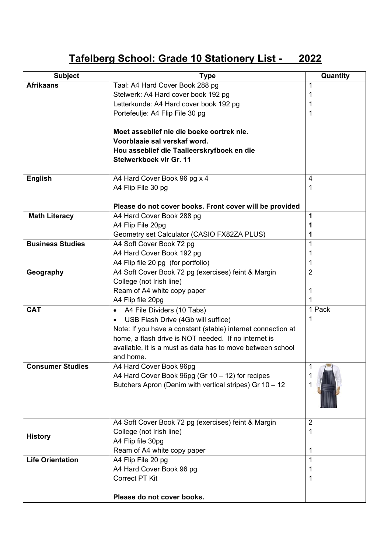## **Tafelberg School: Grade 10 Stationery List - 2022**

| <b>Subject</b>          | <b>Type</b>                                                             | Quantity       |
|-------------------------|-------------------------------------------------------------------------|----------------|
| <b>Afrikaans</b>        | Taal: A4 Hard Cover Book 288 pg                                         | 1              |
|                         | Stelwerk: A4 Hard cover book 192 pg                                     | $\mathbf 1$    |
|                         | Letterkunde: A4 Hard cover book 192 pg                                  | 1              |
|                         | Portefeulje: A4 Flip File 30 pg                                         | 1              |
|                         |                                                                         |                |
|                         | Moet asseblief nie die boeke oortrek nie.                               |                |
|                         | Voorblaaie sal verskaf word.                                            |                |
|                         | Hou asseblief die Taalleerskryfboek en die                              |                |
|                         | Stelwerkboek vir Gr. 11                                                 |                |
| <b>English</b>          | A4 Hard Cover Book 96 pg x 4                                            | 4              |
|                         | A4 Flip File 30 pg                                                      | 1              |
|                         | Please do not cover books. Front cover will be provided                 |                |
| <b>Math Literacy</b>    | A4 Hard Cover Book 288 pg                                               | 1              |
|                         | A4 Flip File 20pg                                                       | 1              |
|                         | Geometry set Calculator (CASIO FX82ZA PLUS)                             | 1              |
| <b>Business Studies</b> |                                                                         | 1              |
|                         | A4 Soft Cover Book 72 pg                                                |                |
|                         | A4 Hard Cover Book 192 pg                                               | 1<br>1         |
|                         | A4 Flip file 20 pg (for portfolio)                                      | $\overline{2}$ |
| Geography               | A4 Soft Cover Book 72 pg (exercises) feint & Margin                     |                |
|                         | College (not Irish line)                                                |                |
|                         | Ream of A4 white copy paper                                             | 1<br>1         |
| <b>CAT</b>              | A4 Flip file 20pg                                                       | 1 Pack         |
|                         | A4 File Dividers (10 Tabs)<br>$\bullet$                                 | $\mathbf 1$    |
|                         | USB Flash Drive (4Gb will suffice)<br>$\bullet$                         |                |
|                         | Note: If you have a constant (stable) internet connection at            |                |
|                         | home, a flash drive is NOT needed. If no internet is                    |                |
|                         | available, it is a must as data has to move between school<br>and home. |                |
| <b>Consumer Studies</b> | A4 Hard Cover Book 96pg                                                 | 1              |
|                         | A4 Hard Cover Book 96pg (Gr 10 - 12) for recipes                        |                |
|                         | Butchers Apron (Denim with vertical stripes) Gr 10 - 12                 |                |
|                         |                                                                         |                |
|                         |                                                                         |                |
|                         |                                                                         |                |
|                         | A4 Soft Cover Book 72 pg (exercises) feint & Margin                     | $\overline{2}$ |
|                         | College (not Irish line)                                                | $\mathbf 1$    |
| <b>History</b>          | A4 Flip file 30pg                                                       |                |
|                         | Ream of A4 white copy paper                                             | 1              |
| <b>Life Orientation</b> | A4 Flip File 20 pg                                                      | 1              |
|                         | A4 Hard Cover Book 96 pg                                                | 1              |
|                         | <b>Correct PT Kit</b>                                                   | 1              |
|                         |                                                                         |                |
|                         | Please do not cover books.                                              |                |